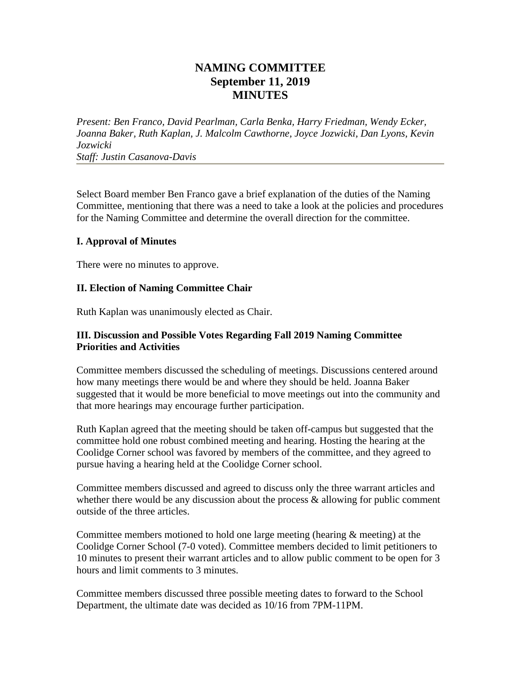## **NAMING COMMITTEE September 11, 2019 MINUTES**

*Present: Ben Franco, David Pearlman, Carla Benka, Harry Friedman, Wendy Ecker, Joanna Baker, Ruth Kaplan, J. Malcolm Cawthorne, Joyce Jozwicki, Dan Lyons, Kevin Jozwicki Staff: Justin Casanova-Davis*

Select Board member Ben Franco gave a brief explanation of the duties of the Naming Committee, mentioning that there was a need to take a look at the policies and procedures for the Naming Committee and determine the overall direction for the committee.

## **I. Approval of Minutes**

There were no minutes to approve.

## **II. Election of Naming Committee Chair**

Ruth Kaplan was unanimously elected as Chair.

## **III. Discussion and Possible Votes Regarding Fall 2019 Naming Committee Priorities and Activities**

Committee members discussed the scheduling of meetings. Discussions centered around how many meetings there would be and where they should be held. Joanna Baker suggested that it would be more beneficial to move meetings out into the community and that more hearings may encourage further participation.

Ruth Kaplan agreed that the meeting should be taken off-campus but suggested that the committee hold one robust combined meeting and hearing. Hosting the hearing at the Coolidge Corner school was favored by members of the committee, and they agreed to pursue having a hearing held at the Coolidge Corner school.

Committee members discussed and agreed to discuss only the three warrant articles and whether there would be any discussion about the process  $\&$  allowing for public comment outside of the three articles.

Committee members motioned to hold one large meeting (hearing & meeting) at the Coolidge Corner School (7-0 voted). Committee members decided to limit petitioners to 10 minutes to present their warrant articles and to allow public comment to be open for 3 hours and limit comments to 3 minutes.

Committee members discussed three possible meeting dates to forward to the School Department, the ultimate date was decided as 10/16 from 7PM-11PM.